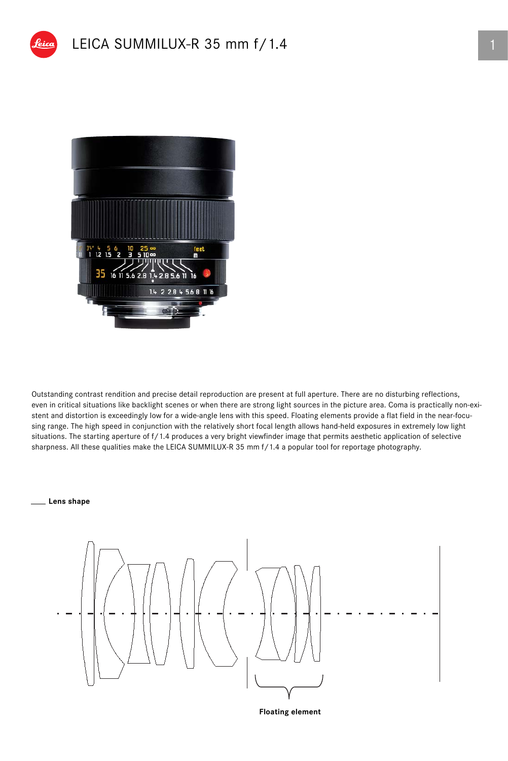



Outstanding contrast rendition and precise detail reproduction are present at full aperture. There are no disturbing reflections, even in critical situations like backlight scenes or when there are strong light sources in the picture area. Coma is practically non-existent and distortion is exceedingly low for a wide-angle lens with this speed. Floating elements provide a flat field in the near-focusing range. The high speed in conjunction with the relatively short focal length allows hand-held exposures in extremely low light situations. The starting aperture of f/1.4 produces a very bright viewfinder image that permits aesthetic application of selective sharpness. All these qualities make the LEICA SUMMILUX-R 35 mm f/1.4 a popular tool for reportage photography.

## **Lens shape**



**Floating element**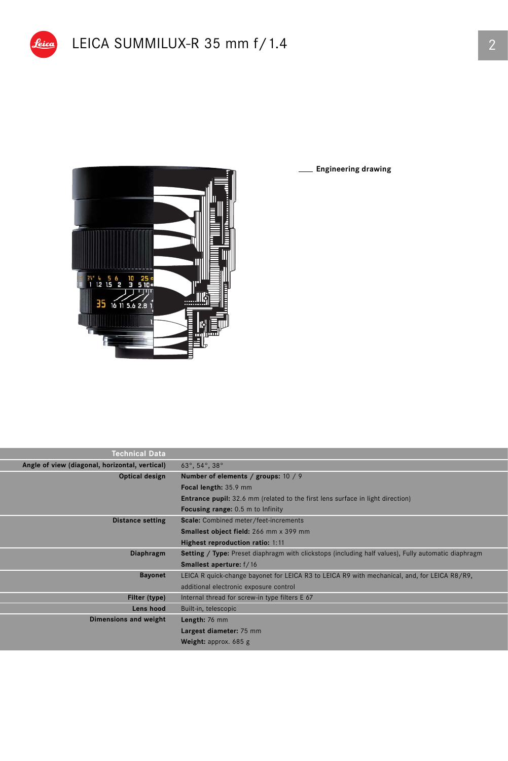

**Engineering drawing**

| Technical Data                                 |                                                                                                     |  |  |  |  |
|------------------------------------------------|-----------------------------------------------------------------------------------------------------|--|--|--|--|
| Angle of view (diagonal, horizontal, vertical) | $63^{\circ}$ , $54^{\circ}$ , $38^{\circ}$                                                          |  |  |  |  |
| Optical design                                 | Number of elements / groups: 10 / 9                                                                 |  |  |  |  |
|                                                | Focal length: 35.9 mm                                                                               |  |  |  |  |
|                                                | <b>Entrance pupil:</b> 32.6 mm (related to the first lens surface in light direction)               |  |  |  |  |
|                                                | <b>Focusing range:</b> 0.5 m to Infinity                                                            |  |  |  |  |
| <b>Distance setting</b>                        | Scale: Combined meter/feet-increments                                                               |  |  |  |  |
|                                                | Smallest object field: 266 mm x 399 mm                                                              |  |  |  |  |
|                                                | Highest reproduction ratio: 1:11                                                                    |  |  |  |  |
| Diaphragm                                      | Setting / Type: Preset diaphragm with clickstops (including half values), Fully automatic diaphragm |  |  |  |  |
|                                                | <b>Smallest aperture:</b> f/16                                                                      |  |  |  |  |
| <b>Bayonet</b>                                 | LEICA R quick-change bayonet for LEICA R3 to LEICA R9 with mechanical, and, for LEICA R8/R9,        |  |  |  |  |
|                                                | additional electronic exposure control                                                              |  |  |  |  |
| Filter (type)                                  | Internal thread for screw-in type filters E 67                                                      |  |  |  |  |
| Lens hood                                      | Built-in, telescopic                                                                                |  |  |  |  |
| Dimensions and weight                          | Length: 76 mm                                                                                       |  |  |  |  |
|                                                | Largest diameter: 75 mm                                                                             |  |  |  |  |
|                                                | <b>Weight:</b> approx. $685$ g                                                                      |  |  |  |  |
|                                                |                                                                                                     |  |  |  |  |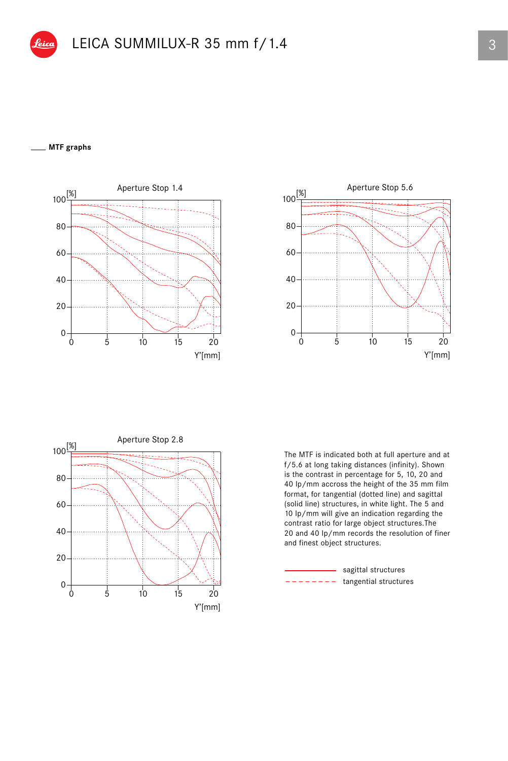## **MTF graphs**







The MTF is indicated both at full aperture and at f/5.6 at long taking distances (infinity). Shown is the contrast in percentage for 5, 10, 20 and 40 lp/mm accross the height of the 35 mm film format, for tangential (dotted line) and sagittal (solid line) structures, in white light. The 5 and 10 lp/mm will give an indication regarding the contrast ratio for large object structures.The 20 and 40 lp/mm records the resolution of finer and finest object structures.

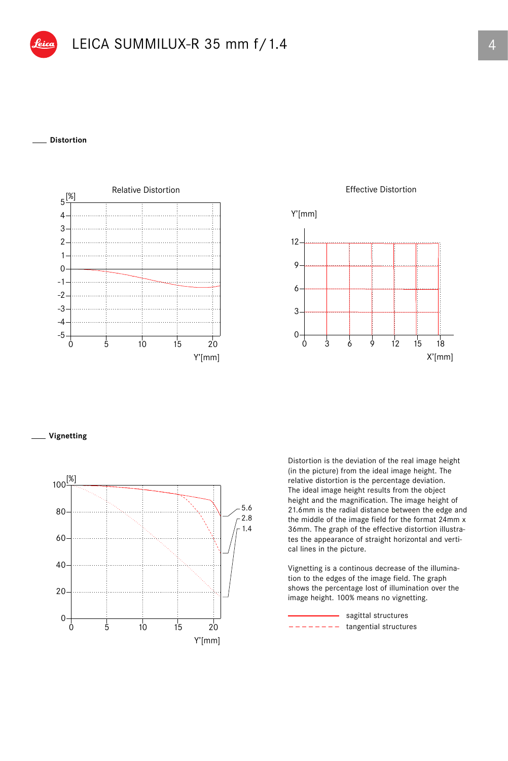## **Distortion**



Effective Distortion



**Vignetting**



Distortion is the deviation of the real image height (in the picture) from the ideal image height. The relative distortion is the percentage deviation. The ideal image height results from the object height and the magnification. The image height of 21.6mm is the radial distance between the edge and the middle of the image field for the format 24mm x 36mm. The graph of the effective distortion illustrates the appearance of straight horizontal and vertical lines in the picture.

Vignetting is a continous decrease of the illumination to the edges of the image field. The graph shows the percentage lost of illumination over the image height. 100% means no vignetting.

 $------$  tangential structures - sagittal structures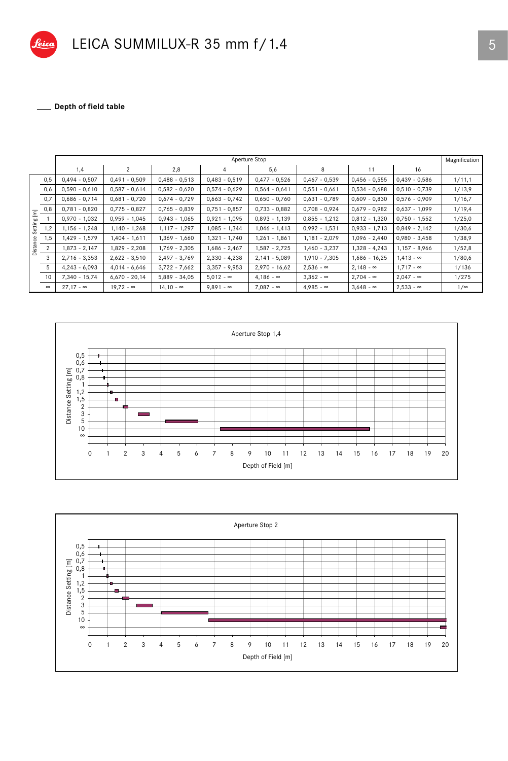

Depth of field table

|                            |                | Aperture Stop    |                       |                  |                  |                  |                  |                  |                  |            |
|----------------------------|----------------|------------------|-----------------------|------------------|------------------|------------------|------------------|------------------|------------------|------------|
|                            |                | 1,4              | $\mathbf{2}^{\prime}$ | 2,8              | 4                | 5,6              | 8                | 11               | 16               |            |
|                            | 0,5            | $0,494 - 0,507$  | $0,491 - 0,509$       | $0,488 - 0,513$  | $0,483 - 0,519$  | $0,477 - 0,526$  | $0,467 - 0,539$  | $0,456 - 0,555$  | $0,439 - 0,586$  | 1/11,1     |
|                            | 0,6            | $0,590 - 0,610$  | $0,587 - 0,614$       | $0,582 - 0,620$  | $0,574 - 0,629$  | $0,564 - 0,641$  | $0,551 - 0,661$  | $0,534 - 0,688$  | $0,510 - 0,739$  | 1/13,9     |
|                            | 0,7            | $0,686 - 0,714$  | $0,681 - 0,720$       | $0,674 - 0,729$  | $0,663 - 0,742$  | $0,650 - 0,760$  | $0,631 - 0,789$  | $0,609 - 0,830$  | $0,576 - 0,909$  | 1/16,7     |
| Ξ                          | 0,8            | $0,781 - 0,820$  | $0,775 - 0,827$       | $0,765 - 0,839$  | $0,751 - 0,857$  | $0,733 - 0,882$  | $0,708 - 0,924$  | $0,679 - 0,982$  | $0,637 - 1,099$  | 1/19,4     |
| ğ<br>Settir<br>eg<br>Dista |                | $0,970 - 1,032$  | $0,959 - 1,045$       | $0,943 - 1,065$  | $0,921 - 1,095$  | $0,893 - 1,139$  | $0,855 - 1,212$  | $0,812 - 1,320$  | $0,750 - 1,552$  | 1/25,0     |
|                            | 1,2            | $1,156 - 1,248$  | $1,140 - 1,268$       | $1,117 - 1,297$  | $1,085 - 1,344$  | $1,046 - 1,413$  | $0,992 - 1,531$  | $0,933 - 1,713$  | $0,849 - 2,142$  | 1/30,6     |
|                            | 1,5            | 1,429 - 1,579    | $1,404 - 1,611$       | 1,369 - 1,660    | 1,321 - 1,740    | 1,261 - 1,861    | $1,181 - 2,079$  | $1,096 - 2,440$  | $0,980 - 3,458$  | 1/38,9     |
|                            | $\overline{2}$ | $1,873 - 2,147$  | 1,829 - 2,208         | 1,769 - 2,305    | $1,686 - 2,467$  | 1,587 - 2,725    | $1,460 - 3,237$  | $1,328 - 4,243$  | $1,157 - 8,966$  | 1/52,8     |
|                            | 3              | $2,716 - 3,353$  | $2,622 - 3,510$       | $2,497 - 3,769$  | $2,330 - 4,238$  | $2,141 - 5,089$  | $1,910 - 7,305$  | $1,686 - 16,25$  | $1,413 - \infty$ | 1/80,6     |
|                            | 5              | $4,243 - 6,093$  | $4,014 - 6,646$       | $3,722 - 7,662$  | $3,357 - 9,953$  | $2,970 - 16,62$  | $2,536 - \infty$ | $2,148 - \infty$ | $1.717 - \infty$ | 1/136      |
|                            | 10             | 7,340 - 15,74    | $6,670 - 20,14$       | $5.889 - 34.05$  | $5.012 - \infty$ | $4.186 - \infty$ | $3.362 - \infty$ | $2,704 - \infty$ | $2,047 - \infty$ | 1/275      |
|                            | $\infty$       | $27,17 - \infty$ | $19,72 - \infty$      | $14,10 - \infty$ | $9,891 - \infty$ | $7,087 - \infty$ | $4,985 - \infty$ | $3,648 - \infty$ | $2,533 - \infty$ | $1/\infty$ |



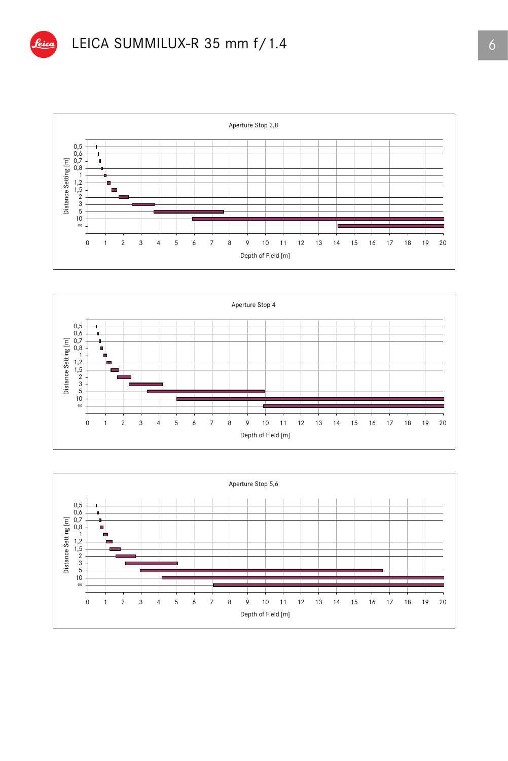